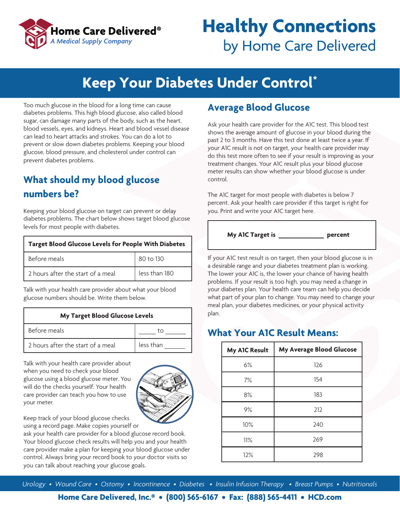

## **Healthy Connections** by Home Care Delivered

## **Keep Your Diabetes Under Control\***

Too much glucose in the blood for a long time can cause diabetes problems. This high blood glucose, also called blood sugar, can damage many parts of the body, such as the heart, blood vessels, eyes, and kidneys. Heart and blood vessel disease can lead to heart attacks and strokes. You can do a lot to prevent or slow down diabetes problems. Keeping your blood glucose, blood pressure, and cholesterol under control can prevent diabetes problems.

### **What should my blood glucose numbers be?**

Keeping your blood glucose on target can prevent or delay diabetes problems. The chart below shows target blood glucose levels for most people with diabetes.

| <b>Target Blood Glucose Levels for People With Diabetes</b> |               |  |
|-------------------------------------------------------------|---------------|--|
| Before meals                                                | 80 to 130     |  |
| 2 hours after the start of a meal                           | less than 180 |  |

Talk with your health care provider about what your blood glucose numbers should be. Write them below.

#### **My Target Blood Glucose Levels**

| Before meals                      |           |
|-----------------------------------|-----------|
| 2 hours after the start of a meal | less than |

Talk with your health care provider about when you need to check your blood glucose using a blood glucose meter. You will do the checks yourself. Your health care provider can teach you how to use your meter.



Keep track of your blood glucose checks using a record page. Make copies yourself or

ask your health care provider for a blood glucose record book. Your blood glucose check results will help you and your health care provider make a plan for keeping your blood glucose under control. Always bring your record book to your doctor visits so you can talk about reaching your glucose goals.

#### **Average Blood Glucose**

Ask your health care provider for the A1C test. This blood test shows the average amount of glucose in your blood during the past 2 to 3 months. Have this test done at least twice a year. If your A1C result is not on target, your health care provider may do this test more often to see if your result is improving as your treatment changes. Your A1C result plus your blood glucose meter results can show whether your blood glucose is under control.

The A1C target for most people with diabetes is below 7 percent. Ask your health care provider if this target is right for you. Print and write your A1C target here.

**My A1C Target is \_\_\_\_\_\_\_\_\_\_\_\_ percent**

If your A1C test result is on target, then your blood glucose is in a desirable range and your diabetes treatment plan is working. The lower your A1C is, the lower your chance of having health problems. If your result is too high, you may need a change in your diabetes plan. Your health care team can help you decide what part of your plan to change. You may need to change your meal plan, your diabetes medicines, or your physical activity plan.

#### **What Your A1C Result Means:**

| My A1C Result | My Average Blood Glucose |
|---------------|--------------------------|
| 6%            | 126                      |
| 7%            | 154                      |
| 8%            | 183                      |
| 9%            | 212                      |
| 10%           | 240                      |
| 11%           | 269                      |
| 12%           | 298                      |

*Urology • Wound Care • Ostomy • Incontinence • Diabetes • Insulin Infusion Therapy • Breast Pumps • Nutritionals*

**Home Care Delivered, Inc.® • (800) 565-6167 • Fax: (888) 565-4411 • HCD.com**